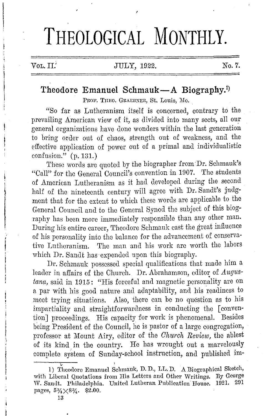## THEOLOGICAL MONTHLY.

## VOL. II.' JULY, 1922. No. 7.

## **Theodore Emanuel Schmauk-A Biography.<sup>1</sup> )**

PROF. THEO. GRAEBNER, St. Louis, Mo.

"So far as Lutheranism itself is concerned, contrary to the prevailing American view of it, as divided into many sects, all our general organizations have done wonders within the last generation to bring order out of chaos, strength out of weakness, and the effective application of power out of a primal and individualistic confusion."  $(p. 131.)$ 

These words are quoted by the biographer from Dr. Schmauk's "Call" for the General Council's convention in 1907. The students of American Lutheranism as it had developed during the second half of the nineteenth century will agree with Dr. Sandt's judgment that for the extent to which these words are applicable to the General Council and to the General Synod the subject of this biography has been more immediately responsible than any other man. During his entire career, Theodore Schmauk cast the great influence of his personality into the balance for the advancement of conservative Lutheranism. The man and his work arc worth the labors which Dr. Sandt has expended upon this biography.

Dr. Schmauk possessed special qualifications that made him a leader in affairs of the Church. Dr. Abrahamson, editor of *Augustana,* said in 1915: "His forceful and magnetic personality are on a par with his good nature and adaptability, and his readiness to meet trying situations. Also, there can be no question as to his impartiality and straightforwardness in conducting the [ convention] proceedings. His capacity for work is phenomenal. Besides being President of the Council, he is pastor of a large congregation, professor at Mount Airy, editor of the *Church Review*, the ablest of its kind in the country. He has wrought out a marvelously complete system of Sunday-school instruction, and published im-

13

l, I) Theodore Emanuel Sehmauk, D. D., LL. D. A Biographical Sketch, with Liberal Quotations from His Letters and Other Writings. By George W. Sandt. Philadelphia. United Lutheran Publication House. 1921. 291 pages,  $5\frac{3}{4}\times8\frac{3}{4}$ . \$2.00.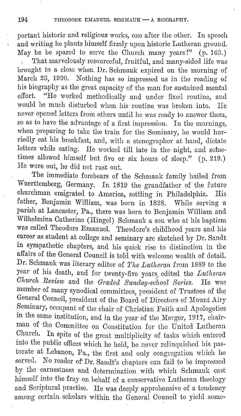portant historic and religious works, one after the other. In speech and writing he plants himself firmly upon historic Lutheran ground. May he be spared to serve the Church many years!" (p. 1G3.)

That marvelously resourceful, fruitful, and many-sided life was brought to a close when Dr. Schmauk expired on the morning of March 23, 1920. Nothing has so impressed us in the reading of his biography as the great capacity of the man for sustained mental effort. "He worked methodically and under fixed routine, and would be much disturbed when his routine was broken into. He never opened letters from others until he was ready to answer them, so as to have the advantage of a first impression. In the mornings, when preparing to take the train for the Seminary, he would hurriedly eat his breakfast, and, with a stenographer at hand, dictate letters while eating. He worked till late in the night, and sometimes allowed himself but five or six hours of sleep." (p. 219.) He wore out, he did not rust out.

The immediate forebears of the Schmauk family hailed from Wuerttemberg, Germany. In 1819 the grandfather of the future churchman emigrated to America, settling in Philadelphia. His father, Benjamin William, was born in 1828. While serving a parish at Lancaster, Pa., there was born to Benjamin William and Wilhelmina Catherine (Hingel) Schmauk a sou who at his baptism was called Theodore Emanuel. Theodore's childhood years and his career as student at college and seminary are sketched by Dr. Sandt in sympathetic chapters, and his quick rise to distinction in the affairs of the General Council is told with welcome wealth of detail. Dr. Schmauk was literary editor of *The Lillheran* from 1889 to the year of his death, and for twenty-five years/ edited the *Liltheran Church Review* and the *Graded Sunday-school Series.* He was member of many synodical committees, president of Trustees of the General Council, president of the Board of Directors of Mount Airy Seminary, occupant of the chair of Christian Faith and Apologetics in the same institution, and in the year of the Merger, 1917, chairman of the Committee on Constitution for the United Lutheran Church. In spite of the great multiplicity of tasks which entered into the public oflices which he held, he never relinquished his pastorate at Lebanon, Pa., the first and only congregation which he served. No reader of Dr. Sandt's chapters can fail to be impressed by the earnestness and determination with which Schmauk cast himself into the fray on behalf of a conservative Lutheran theology and Scriptural practise. He was deeply apprehensive of a tendency among certain scholars within the General Council to yield some-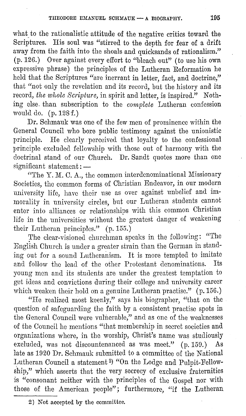what to the rationalistic attitude of the negative critics toward the Scriptures. His soul was "stirred to the depth for fear of a drift away from the faith into the shoals and quicksands of rationalism." (p. 126.) Over against every effort to "bleach out" ( to use his own expressive phrase) the principles of the Lutheran Reformation he held that the Scriptures "are inerrant in letter, fact, and doctrine," that "not only the revelation and its record, but the history and its record, *the whole Scripture,* in spirit and letter, is inspired." Nothing else. than subscription to the *complete* Lutheran confossion would do. (p. 128 f.)

Dr. Schmauk was one of the few men of prominence within the General Council who bore public testimony against the unionistic principle. He clearly perceived that loyalty to the confessional principle excluded fellowship with those out of harmony with the doctrinal stand of our Church. Dr. Sandt quotes more than one significant statement: -

"The Y. M. C. A., the common interdenominational Missionary Societies, the common forms of Christian Endeavor, in our modern university life, have their use as over against unbelief and immorality in university circles, but our Lutheran students cannot enter into alliances or relationships with this common Christian life in the universities without the greatest danger of weakening their Lutheran principles." (p. 155.)

The clear-visioned churchman speaks in the following: "The English Church is under a greater strain than the German in standing out for a sound Lutheranism. It is more tempted to imitate<br>and follow the lead of the other Protestant denominations. Its and follow the lead of the other Protestant denominations. young men and its students are under the greatest temptation to get ideas and convictions during their college and university career which weaken their hold on a genuine Lutheran practise." (p. 156.)

"He realized most keenly," says his biographer, "that on the question of safeguarding the faith by a consistent practise spots in the General Council were vulnerable," and as one of the weaknesses of the Council he mentions "that membership in secret societies and organizations where, in the worship, Christ's name was studiously excluded, was not discountenanced as was meet." (p. 159.) As late as 1920 Dr. Schmauk submitted to a committee of the National Lutheran Council a statement<sup>2</sup>) "On the Lodge and Pulpit-Fellowship," which asserts that the very secrecy of exclusive fraternities is "consonant neither with the principles of the Gospel nor with those of the American people"; furthermore, "if the Lutheran

<sup>2)</sup> Not accepted by the committee.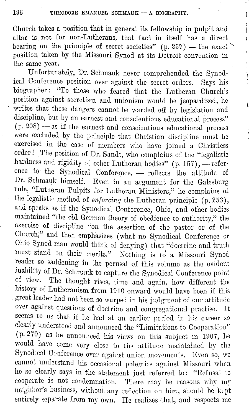ţ ţ ŧ ŀ ĵ.

Church takes a position that in general its fellowship in pulpit and altar is not for non-Lutherans, that fact in itself has a direct bearing on the principle of secret societies" (p. 257) - the exact position taken by the Missouri Synod at its Detroit convention in the same year.

Unfortunately, Dr. Schmauk never comprehended the Synodical Conference position over against the secret orders. Says his biographer: "'l'o those who feared that the Lutheran Church's position against secretism and unionism would be jeopardized, he writes that these dangers cannot be warded off by legislation and discipline, but by an earnest and conscientious educational process"  $(p. 208)$  -as if the earnest and conscientious educational process were excluded by tho principle that Christian discipline must be exercised in the case of members who have joined a Christless order! The position of Dr. Sandt, who complains of the "legalistic hardness and rigidity of other Lutheran bodies" (p. 157), - reference to the Synodical Conference, - reflects the attitude of Dr. Schmauk: himself. Even in an argument for the Galesburg rule, "Lutheran Pulpits for Lutheran Ministers," he complains of the legalistic method of *enforcing* the Lutheran principle (p. 253), and speaks as if the Synodical Conference, Ohio, and other bodies maintained "the old German theory of obedience to authority," the exercise of discipline "on the assertion of the pastor or of the Church," and then emphasizes (what no Synodical Conference or Ohio Synod man would think of denying) that "doctrine and truth must stand on their merits." Nothing is to a Missouri Synod reader so saddening in the perusal of this volume as the evident inability of Dr. Schmauk to capture the Synodical Conference point<br>of view. The thought rises time and again, how different the The thought rises, time and again, how different the history of Lutheranism from 1910 onward would have been if this . great leader had not been so warped in his judgment of our attitude over against questions of doctrine and congregational practise. It seems to us that if he had at an earlier period in his career so clearly understood and announced the "Limitations to Cooperation" (p. 270) as he announced his views on this subject in 1907, he would have come very close to the attitude maintained by the Synodical Conference over against union movements. Bven so, we cannot understand his occasional polemics against Missouri when he so clearly says in the statement just referred to: "Refusal to cooperate is not condemnation. 'l'here may be reasons why my neighbor's business, without any reflection on him, should be kept entirely separate from my own. He 'realizes that, and respects me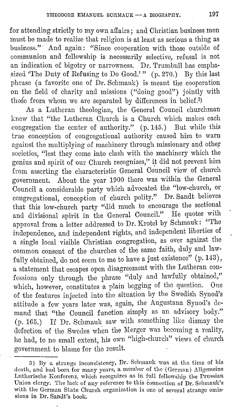for attending strictly to my own affairs; and Christian business men must be made to realize that religion is at least as serious a thing as business." · And again: "Since cooperation with those outside of communion and fellowship is necessarily selective, refusal is not an indication of bigotry or narrowness. Dr. Trumbull has emphasized 'The Duty of Refusing to Do Good.'" (p. 270.) By this last phrase (a favorite one of Dr. Schmauk) is meant the cooperation on the field of charity and missions ("doing good") jointly with those from whom we are separated by differences in belief.<sup>3)</sup>

As a Lutheran theologian, the General Council churchman knew that "the Lutheran Church is a Church which makes each congregation the center of authority."  $(p, 145)$  But while this true conception of congregational authority caused him to warn against the multiplying of machinery through missionary and other societies, "lest they come into clash with the machinery which the genius and spirit of our Church recognizes," it did not prevent him from asserting the characteristic General Council view of church government. About the year 1900 there was within the General Council a considerable party which advocated the "low-church, or congregational, conception of church polity." Dr. Sandt believes that this low-church party "did much to encourage the sectional and divisional spirit in the General Council." He quotes with approval from a letter addressed to Dr. Krotel by Schmauk: "The independence, and independent rights, and independent liberties or a single local visible Christian congregation, as over against the common consent of the churches of the same faith, duly and lawfully obtained, do not seem to me to have a just existence" (p. 143), a statement that escapes open disagreement with the Lutheran confessions only through the phrase "duly and lawfully obtained," which, however, constitutes a plain begging of the question. of the features injected into the situation by the Swedish Synod's attitude a few years later was, again, the Augustana Synod's demand that "the Council function simply as an advisory body." (p. 165.) If Dr. Schmauk saw with something like dismay the defection of the Swedes when the Merger was becoming a reality, he had, to no small extent, his own "high-church" views of church government to blame for the result.

<sup>3)</sup> By a strange inconsistency, Dr. Schmauk was at the time of his death, and had been for many years, a member of the (German) Allgemeine Lutherische Konferenz, which recognizes as in full fellowship the Prussian Union clergy. The lack of any reference to this connection of Dr. Schmauk's with the German State Church organization is one of several strange omissions in Dr. Sandt's book.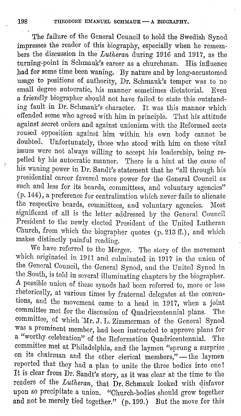The failure of the General Council to hold the Swedish Synod impresses the reader of this biography, especially when he remembers the discussion in the *Lutheran* during 1916 and 1917, as the turning-point in Schmauk's career as a churchman. His influence had for some time been waning. By nature and by long-accustomed usage to positions of authority, Dr. Schmauk's temper was to no small degree autocratic, his manner sometimes dictatorial. Even a friendly biographer should not have failed to state this outstanding fault in Dr. Schmauk's character. It was this manner which offended some who agreed with him in principle. That his attitude against secret orders and against unionism with the Reformed sects roused opposition against him within his own body cannot be doubted. Unfortunately, those who stood with him on these vital issues were not always willing to accept his leadership, being repelled by his autocratic manner. There is a hint at the cause of his waning power in Dr. Sandt's statement that he "all through his presidential career favored more power for the General Council as such and less for its boards, committees, and voluntary agencies"  $(p.144)$ , a preference for centralization which never fails to alienate the respective boards, committees, and voluntary agencies. Most significant of all is the letter addressed by the General Council President to the newly elected President of the United Lutheran Church, from which the biographer quotes (p. 213 ff.), and which makes distinctly painful reading.

We have referred to the Merger. The story of the movement which originated in 1911 and culminated in 1917 in the union of the General Council, the General Synod, and the United Synod in the South, is told in several illuminating chapters by the biographer. A possible union of these synods had been referred to, more or less rhetorically, at various times by fraternal delegates at the conventions, and the movement came to a head in 1917, when a joint committee met for the discussion of Quadricentennial plans. The committee, of which 'Mr. J. L. Zimmerman of the General Synod was a prominent member, had been instructed to approve plans for a "worthy celebration" of the Reformation Quadricentcnnial. The committee met at Philadelphia, and the laymen "sprung a surprise on its chairman and the other clerical members,"- the laymen reported that they had a plan to unite the three bodies into one! It is clear from Dr. Sandt's story, as it was clear at the time to the readers of the *Lutheran*, that Dr. Schmauk looked with disfavor upon so precipitate a union. "Church-bodies should grow together and not be merely tied together." (p. 199.) But the move for this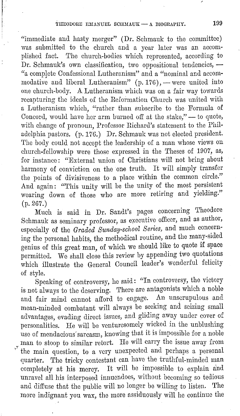"immediate and hasty merger" (Dr. Schmauk to the committee) was submitted to the church and a year later was an accomplished fact. '1<sup>1</sup> he church-bodies which represented, according to Dr. Schmauk's own classification, two oppositional tendencies, -"a complete Confessional Lutheranism" and a "nominal and accommodative and liberal Lutheranism"  $(p. 176)$ , - were united into one church-body. A Lutheranism which was on a fair way towards recapturing the ideals of the Reformation Church was united with a Lutheranism which, "rather than subscribe to the Formula of Concord, would have her arm burned off at the stake," -- to quote, with change of pronoun, Professor Richard's statement to the Philadelphia pastors. (p. 176.) Dr. Schmauk was not elected president. The body could not accept the leadership of a man whose views on church-fellowship were those expressed in the Theses of 1907, as, for instance: "External union of Christians will not bring about harmony of conviction on the one truth. It will simply transfer the points of divisiveness to a place within the common circle." And again: "This unity will be the unity of the most persistent wearing down of those who are more retiring and yielding." (p. 267.)

Much is said in Dr. Sandt's pages concerning Theodore Schmauk as seminary professor, as executive officer, and as author, especially of the *Graded Swiday-school Series,* and much concerning the personal habits, the methodical routine, and the many-sided genius of this great man, of which we should like to quote if space permitted. We shall close this review by appending two quotations which illustrate the General Council leader's wonderful felicity of style.

Speaking of controversy, he said: "In controversy, the victory is not always to the deserving. There are antagonists which a noble and fair mind cannot afford to engage. An unscrupulous and mean-minded combatant will always be seeking and seizing small advantages, evading direct issues, and gliding away under cover of personalities. He will be venturesomely wicked in the unblushing use of mendacious' sarcasm, knowing that it is impossible for a noble man to stoop to similar retort. He will carry the issue away from the main question, to a very unexpected and perhaps a personal quarter. The tricky contestant can have the truthful-minded man completely at his mercy. It will be impossible to explain and unravel all his interposed innuendoes, without becoming so tedious and diffuse that the public will no longer be willing to listen. The more indignant you wax, the more assiduously will he continue the